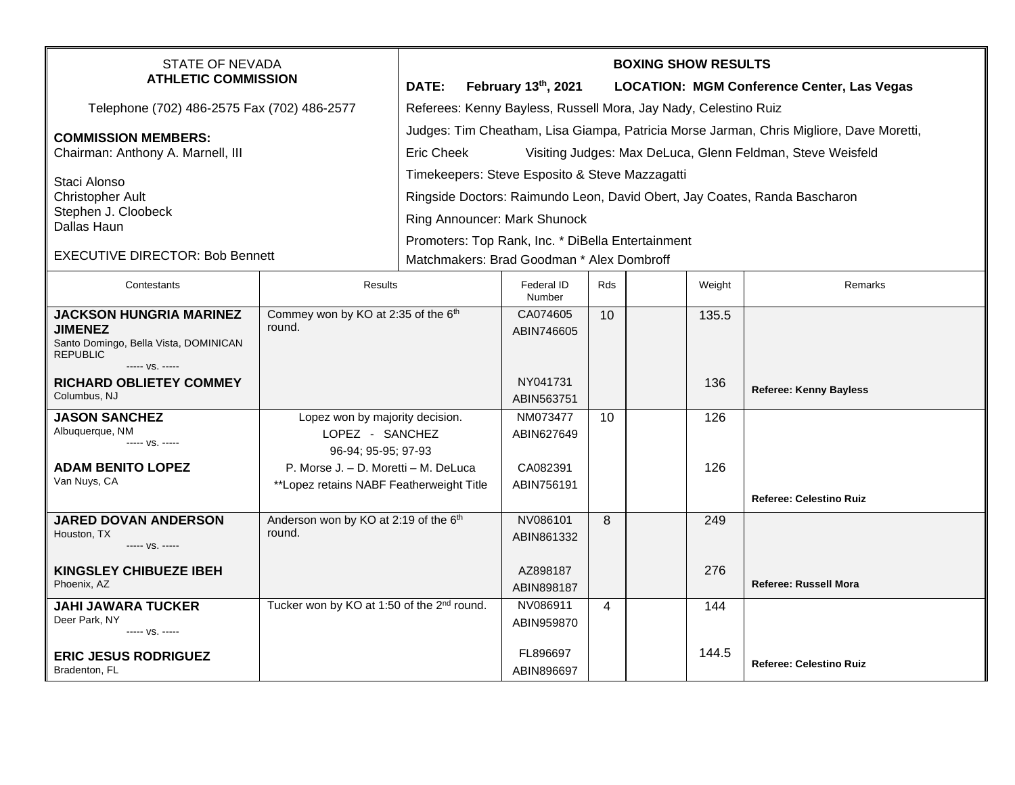| <b>STATE OF NEVADA</b><br><b>ATHLETIC COMMISSION</b>                  |                                                             | <b>BOXING SHOW RESULTS</b>                                                              |                      |                 |  |        |                                                   |  |  |
|-----------------------------------------------------------------------|-------------------------------------------------------------|-----------------------------------------------------------------------------------------|----------------------|-----------------|--|--------|---------------------------------------------------|--|--|
|                                                                       |                                                             | DATE:                                                                                   | February 13th, 2021  |                 |  |        | <b>LOCATION: MGM Conference Center, Las Vegas</b> |  |  |
| Telephone (702) 486-2575 Fax (702) 486-2577                           |                                                             | Referees: Kenny Bayless, Russell Mora, Jay Nady, Celestino Ruiz                         |                      |                 |  |        |                                                   |  |  |
| <b>COMMISSION MEMBERS:</b><br>Chairman: Anthony A. Marnell, III       |                                                             | Judges: Tim Cheatham, Lisa Giampa, Patricia Morse Jarman, Chris Migliore, Dave Moretti, |                      |                 |  |        |                                                   |  |  |
|                                                                       |                                                             | <b>Eric Cheek</b><br>Visiting Judges: Max DeLuca, Glenn Feldman, Steve Weisfeld         |                      |                 |  |        |                                                   |  |  |
| Staci Alonso<br><b>Christopher Ault</b>                               |                                                             | Timekeepers: Steve Esposito & Steve Mazzagatti                                          |                      |                 |  |        |                                                   |  |  |
|                                                                       |                                                             | Ringside Doctors: Raimundo Leon, David Obert, Jay Coates, Randa Bascharon               |                      |                 |  |        |                                                   |  |  |
| Stephen J. Cloobeck<br>Dallas Haun                                    |                                                             | Ring Announcer: Mark Shunock                                                            |                      |                 |  |        |                                                   |  |  |
|                                                                       |                                                             | Promoters: Top Rank, Inc. * DiBella Entertainment                                       |                      |                 |  |        |                                                   |  |  |
| <b>EXECUTIVE DIRECTOR: Bob Bennett</b>                                |                                                             | Matchmakers: Brad Goodman * Alex Dombroff                                               |                      |                 |  |        |                                                   |  |  |
| Contestants                                                           | <b>Results</b>                                              |                                                                                         | Federal ID<br>Number | <b>Rds</b>      |  | Weight | Remarks                                           |  |  |
| Commey won by KO at 2:35 of the 6th<br><b>JACKSON HUNGRIA MARINEZ</b> |                                                             |                                                                                         | CA074605             | 10 <sup>°</sup> |  | 135.5  |                                                   |  |  |
| <b>JIMENEZ</b><br>Santo Domingo, Bella Vista, DOMINICAN               | round.                                                      |                                                                                         | ABIN746605           |                 |  |        |                                                   |  |  |
| <b>REPUBLIC</b><br>----- VS. -----                                    |                                                             |                                                                                         |                      |                 |  |        |                                                   |  |  |
| <b>RICHARD OBLIETEY COMMEY</b>                                        |                                                             |                                                                                         | NY041731             |                 |  | 136    |                                                   |  |  |
| Columbus, NJ                                                          |                                                             |                                                                                         | ABIN563751           |                 |  |        | <b>Referee: Kenny Bayless</b>                     |  |  |
| <b>JASON SANCHEZ</b>                                                  | Lopez won by majority decision.                             |                                                                                         | NM073477             | 10              |  | 126    |                                                   |  |  |
| Albuquerque, NM<br>$--- VS. ---$                                      | LOPEZ - SANCHEZ                                             |                                                                                         | ABIN627649           |                 |  |        |                                                   |  |  |
| <b>ADAM BENITO LOPEZ</b>                                              | 96-94; 95-95; 97-93<br>P. Morse J. - D. Moretti - M. DeLuca |                                                                                         | CA082391             |                 |  | 126    |                                                   |  |  |
| Van Nuys, CA                                                          | **Lopez retains NABF Featherweight Title                    |                                                                                         | ABIN756191           |                 |  |        |                                                   |  |  |
|                                                                       |                                                             |                                                                                         |                      |                 |  |        | Referee: Celestino Ruiz                           |  |  |
| <b>JARED DOVAN ANDERSON</b>                                           | Anderson won by KO at 2:19 of the 6th                       |                                                                                         | NV086101             | 8               |  | 249    |                                                   |  |  |
| Houston, TX<br>----- VS. -----                                        | round.                                                      |                                                                                         | ABIN861332           |                 |  |        |                                                   |  |  |
| <b>KINGSLEY CHIBUEZE IBEH</b>                                         |                                                             |                                                                                         | AZ898187             |                 |  | 276    |                                                   |  |  |
| Phoenix, AZ                                                           |                                                             |                                                                                         | ABIN898187           |                 |  |        | Referee: Russell Mora                             |  |  |
| <b>JAHI JAWARA TUCKER</b>                                             | Tucker won by KO at 1:50 of the 2 <sup>nd</sup> round.      |                                                                                         | NV086911             | $\overline{4}$  |  | 144    |                                                   |  |  |
| Deer Park, NY<br>----- VS. -----                                      |                                                             |                                                                                         | ABIN959870           |                 |  |        |                                                   |  |  |
| <b>ERIC JESUS RODRIGUEZ</b>                                           |                                                             |                                                                                         | FL896697             |                 |  | 144.5  |                                                   |  |  |
| Bradenton, FL                                                         |                                                             |                                                                                         | ABIN896697           |                 |  |        | <b>Referee: Celestino Ruiz</b>                    |  |  |